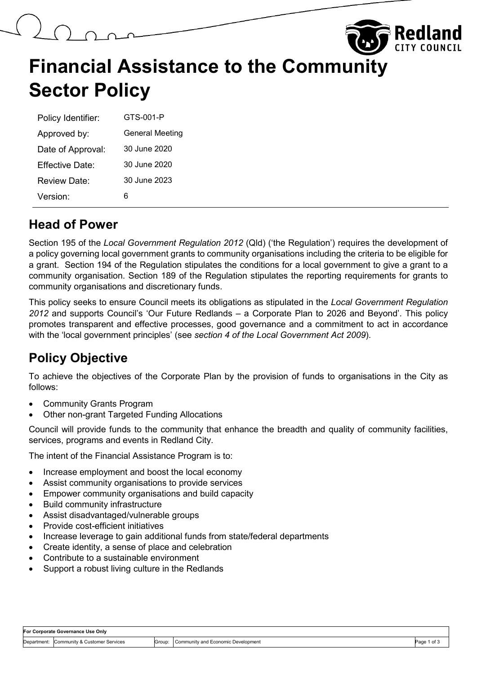|                      |                                              |  | <b>The Redland</b> |
|----------------------|----------------------------------------------|--|--------------------|
| <b>Sector Policy</b> | <b>Financial Assistance to the Community</b> |  |                    |
| Policy Identifier:   | GTS-001-P                                    |  |                    |
| Approved by:         | <b>General Meeting</b>                       |  |                    |
| Date of Approval:    | 30 June 2020                                 |  |                    |

Review Date: 30 June 2023 Version: 6

Effective Date: 30 June 2020

#### **Head of Power**

Section 195 of the *Local Government Regulation 2012* (Qld) ('the Regulation') requires the development of a policy governing local government grants to community organisations including the criteria to be eligible for a grant. Section 194 of the Regulation stipulates the conditions for a local government to give a grant to a community organisation. Section 189 of the Regulation stipulates the reporting requirements for grants to community organisations and discretionary funds.

This policy seeks to ensure Council meets its obligations as stipulated in the *Local Government Regulation 2012* and supports Council's 'Our Future Redlands – a Corporate Plan to 2026 and Beyond'. This policy promotes transparent and effective processes, good governance and a commitment to act in accordance with the 'local government principles' (see *section 4 of the Local Government Act 2009*).

# **Policy Objective**

To achieve the objectives of the Corporate Plan by the provision of funds to organisations in the City as follows:

- Community Grants Program
- Other non-grant Targeted Funding Allocations

Council will provide funds to the community that enhance the breadth and quality of community facilities, services, programs and events in Redland City.

The intent of the Financial Assistance Program is to:

- Increase employment and boost the local economy
- Assist community organisations to provide services
- Empower community organisations and build capacity
- Build community infrastructure
- Assist disadvantaged/vulnerable groups
- Provide cost-efficient initiatives
- Increase leverage to gain additional funds from state/federal departments
- Create identity, a sense of place and celebration
- Contribute to a sustainable environment
- Support a robust living culture in the Redlands

| For Corporate Governance Use Only |                                           |        |                                             |             |
|-----------------------------------|-------------------------------------------|--------|---------------------------------------------|-------------|
|                                   | Department: Community & Customer Services | Group: | <b>I Community and Economic Development</b> | Page 1 of 3 |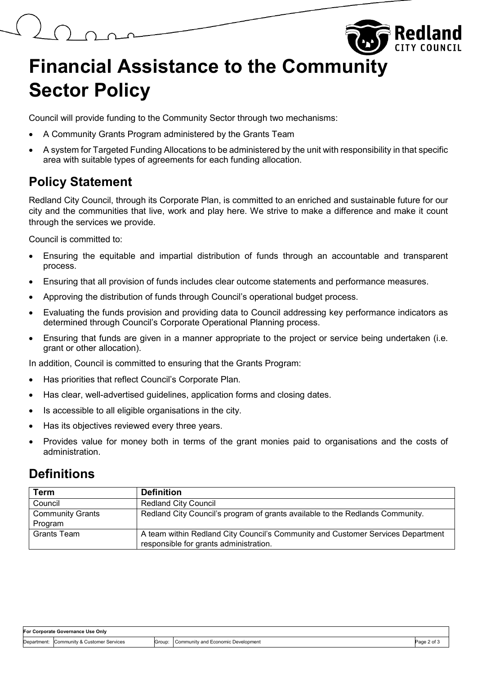# **Financial Assistance to the Community Sector Policy**

Council will provide funding to the Community Sector through two mechanisms:

- A Community Grants Program administered by the Grants Team
- A system for Targeted Funding Allocations to be administered by the unit with responsibility in that specific area with suitable types of agreements for each funding allocation.

# **Policy Statement**

Redland City Council, through its Corporate Plan, is committed to an enriched and sustainable future for our city and the communities that live, work and play here. We strive to make a difference and make it count through the services we provide.

Council is committed to:

- Ensuring the equitable and impartial distribution of funds through an accountable and transparent process.
- Ensuring that all provision of funds includes clear outcome statements and performance measures.
- Approving the distribution of funds through Council's operational budget process.
- Evaluating the funds provision and providing data to Council addressing key performance indicators as determined through Council's Corporate Operational Planning process.
- Ensuring that funds are given in a manner appropriate to the project or service being undertaken (i.e. grant or other allocation).

In addition, Council is committed to ensuring that the Grants Program:

- Has priorities that reflect Council's Corporate Plan.
- Has clear, well-advertised guidelines, application forms and closing dates.
- Is accessible to all eligible organisations in the city.
- Has its objectives reviewed every three years.
- Provides value for money both in terms of the grant monies paid to organisations and the costs of administration.

#### **Definitions**

| <b>Term</b>             | <b>Definition</b>                                                               |
|-------------------------|---------------------------------------------------------------------------------|
| Council                 | <b>Redland City Council</b>                                                     |
| <b>Community Grants</b> | Redland City Council's program of grants available to the Redlands Community.   |
| Program                 |                                                                                 |
| Grants Team             | A team within Redland City Council's Community and Customer Services Department |
|                         | responsible for grants administration.                                          |

| <b>For Corporate Governance Use Only</b> |                                |        |                                     |             |
|------------------------------------------|--------------------------------|--------|-------------------------------------|-------------|
| Department:                              | Community & Customer Services: | Group: | Community and Economic Development: | 'ot.<br>طαص |